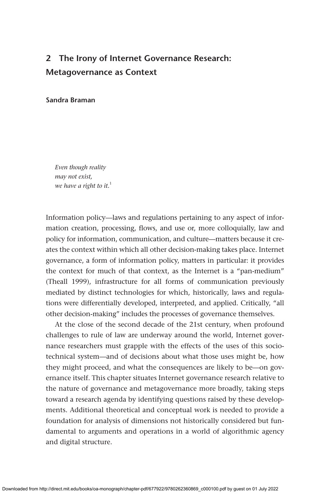# **2 The Irony of Internet Governance Research: Metagovernance as Context**

## **Sandra Braman**

*Even though reality may not exist, we have a right to it.*<sup>1</sup>

Information policy—laws and regulations pertaining to any aspect of information creation, processing, flows, and use or, more colloquially, law and policy for information, communication, and culture—matters because it creates the context within which all other decision-making takes place. Internet governance, a form of information policy, matters in particular: it provides the context for much of that context, as the Internet is a "pan-medium" (Theall 1999), infrastructure for all forms of communication previously mediated by distinct technologies for which, historically, laws and regulations were differentially developed, interpreted, and applied. Critically, "all other decision-making" includes the processes of governance themselves.

At the close of the second decade of the 21st century, when profound challenges to rule of law are underway around the world, Internet governance researchers must grapple with the effects of the uses of this sociotechnical system—and of decisions about what those uses might be, how they might proceed, and what the consequences are likely to be—on governance itself. This chapter situates Internet governance research relative to the nature of governance and metagovernance more broadly, taking steps toward a research agenda by identifying questions raised by these developments. Additional theoretical and conceptual work is needed to provide a foundation for analysis of dimensions not historically considered but fundamental to arguments and operations in a world of algorithmic agency and digital structure.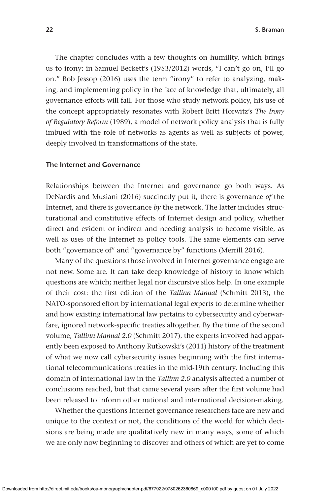The chapter concludes with a few thoughts on humility, which brings us to irony; in Samuel Beckett's (1953/2012) words, "I can't go on, I'll go on." Bob Jessop (2016) uses the term "irony" to refer to analyzing, making, and implementing policy in the face of knowledge that, ultimately, all governance efforts will fail. For those who study network policy, his use of the concept appropriately resonates with Robert Britt Horwitz's *The Irony of Regulatory Reform* (1989), a model of network policy analysis that is fully imbued with the role of networks as agents as well as subjects of power, deeply involved in transformations of the state.

## **The Internet and Governance**

Relationships between the Internet and governance go both ways. As DeNardis and Musiani (2016) succinctly put it, there is governance *of* the Internet, and there is governance *by* the network. The latter includes structurational and constitutive effects of Internet design and policy, whether direct and evident or indirect and needing analysis to become visible, as well as uses of the Internet as policy tools. The same elements can serve both "governance of" and "governance by" functions (Merrill 2016).

Many of the questions those involved in Internet governance engage are not new. Some are. It can take deep knowledge of history to know which questions are which; neither legal nor discursive silos help. In one example of their cost: the first edition of the *Tallinn Manual* (Schmitt 2013), the NATO-sponsored effort by international legal experts to determine whether and how existing international law pertains to cybersecurity and cyberwarfare, ignored network-specific treaties altogether. By the time of the second volume, *Tallinn Manual 2.0* (Schmitt 2017), the experts involved had apparently been exposed to Anthony Rutkowski's (2011) history of the treatment of what we now call cybersecurity issues beginning with the first international telecommunications treaties in the mid-19th century. Including this domain of international law in the *Tallinn 2.0* analysis affected a number of conclusions reached, but that came several years after the first volume had been released to inform other national and international decision-making.

Whether the questions Internet governance researchers face are new and unique to the context or not, the conditions of the world for which decisions are being made are qualitatively new in many ways, some of which we are only now beginning to discover and others of which are yet to come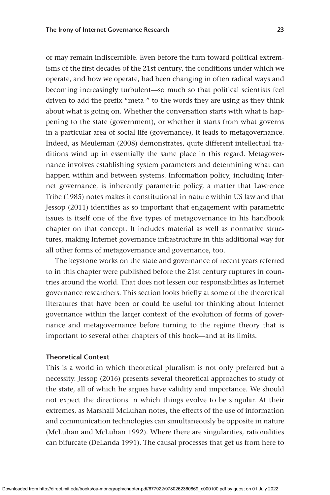or may remain indiscernible. Even before the turn toward political extremisms of the first decades of the 21st century, the conditions under which we operate, and how we operate, had been changing in often radical ways and becoming increasingly turbulent—so much so that political scientists feel driven to add the prefix "meta-" to the words they are using as they think about what is going on. Whether the conversation starts with what is happening to the state (government), or whether it starts from what governs in a particular area of social life (governance), it leads to metagovernance. Indeed, as Meuleman (2008) demonstrates, quite different intellectual traditions wind up in essentially the same place in this regard. Metagovernance involves establishing system parameters and determining what can happen within and between systems. Information policy, including Internet governance, is inherently parametric policy, a matter that Lawrence Tribe (1985) notes makes it constitutional in nature within US law and that Jessop (2011) identifies as so important that engagement with parametric issues is itself one of the five types of metagovernance in his handbook chapter on that concept. It includes material as well as normative structures, making Internet governance infrastructure in this additional way for all other forms of metagovernance and governance, too.

The keystone works on the state and governance of recent years referred to in this chapter were published before the 21st century ruptures in countries around the world. That does not lessen our responsibilities as Internet governance researchers. This section looks briefly at some of the theoretical literatures that have been or could be useful for thinking about Internet governance within the larger context of the evolution of forms of governance and metagovernance before turning to the regime theory that is important to several other chapters of this book—and at its limits.

## **Theoretical Context**

This is a world in which theoretical pluralism is not only preferred but a necessity. Jessop (2016) presents several theoretical approaches to study of the state, all of which he argues have validity and importance. We should not expect the directions in which things evolve to be singular. At their extremes, as Marshall McLuhan notes, the effects of the use of information and communication technologies can simultaneously be opposite in nature (McLuhan and McLuhan 1992). Where there are singularities, rationalities can bifurcate (DeLanda 1991). The causal processes that get us from here to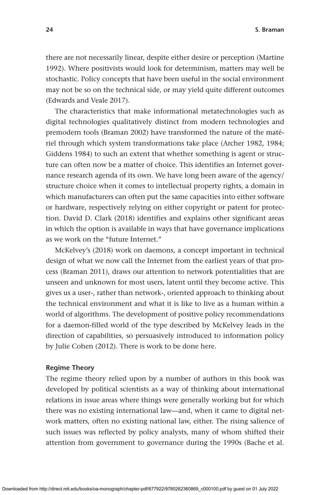there are not necessarily linear, despite either desire or perception (Martine 1992). Where positivists would look for determinism, matters may well be stochastic. Policy concepts that have been useful in the social environment may not be so on the technical side, or may yield quite different outcomes (Edwards and Veale 2017).

The characteristics that make informational metatechnologies such as digital technologies qualitatively distinct from modern technologies and premodern tools (Braman 2002) have transformed the nature of the matériel through which system transformations take place (Archer 1982, 1984; Giddens 1984) to such an extent that whether something is agent or structure can often now be a matter of choice. This identifies an Internet governance research agenda of its own. We have long been aware of the agency/ structure choice when it comes to intellectual property rights, a domain in which manufacturers can often put the same capacities into either software or hardware, respectively relying on either copyright or patent for protection. David D. Clark (2018) identifies and explains other significant areas in which the option is available in ways that have governance implications as we work on the "future Internet."

McKelvey's (2018) work on daemons, a concept important in technical design of what we now call the Internet from the earliest years of that process (Braman 2011), draws our attention to network potentialities that are unseen and unknown for most users, latent until they become active. This gives us a user-, rather than network-, oriented approach to thinking about the technical environment and what it is like to live as a human within a world of algorithms. The development of positive policy recommendations for a daemon-filled world of the type described by McKelvey leads in the direction of capabilities, so persuasively introduced to information policy by Julie Cohen (2012). There is work to be done here.

#### **Regime Theory**

The regime theory relied upon by a number of authors in this book was developed by political scientists as a way of thinking about international relations in issue areas where things were generally working but for which there was no existing international law—and, when it came to digital network matters, often no existing national law, either. The rising salience of such issues was reflected by policy analysts, many of whom shifted their attention from government to governance during the 1990s (Bache et al.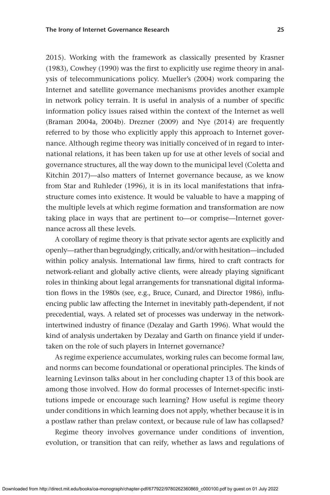2015). Working with the framework as classically presented by Krasner (1983), Cowhey (1990) was the first to explicitly use regime theory in analysis of telecommunications policy. Mueller's (2004) work comparing the Internet and satellite governance mechanisms provides another example in network policy terrain. It is useful in analysis of a number of specific information policy issues raised within the context of the Internet as well (Braman 2004a, 2004b). Drezner (2009) and Nye (2014) are frequently referred to by those who explicitly apply this approach to Internet governance. Although regime theory was initially conceived of in regard to international relations, it has been taken up for use at other levels of social and governance structures, all the way down to the municipal level (Coletta and Kitchin 2017)—also matters of Internet governance because, as we know from Star and Ruhleder (1996), it is in its local manifestations that infrastructure comes into existence. It would be valuable to have a mapping of the multiple levels at which regime formation and transformation are now taking place in ways that are pertinent to—or comprise—Internet governance across all these levels.

A corollary of regime theory is that private sector agents are explicitly and openly—rather than begrudgingly, critically, and/or with hesitation—included within policy analysis. International law firms, hired to craft contracts for network-reliant and globally active clients, were already playing significant roles in thinking about legal arrangements for transnational digital information flows in the 1980s (see, e.g., Bruce, Cunard, and Director 1986), influencing public law affecting the Internet in inevitably path-dependent, if not precedential, ways. A related set of processes was underway in the networkintertwined industry of finance (Dezalay and Garth 1996). What would the kind of analysis undertaken by Dezalay and Garth on finance yield if undertaken on the role of such players in Internet governance?

As regime experience accumulates, working rules can become formal law, and norms can become foundational or operational principles. The kinds of learning Levinson talks about in her concluding chapter 13 of this book are among those involved. How do formal processes of Internet-specific institutions impede or encourage such learning? How useful is regime theory under conditions in which learning does not apply, whether because it is in a postlaw rather than prelaw context, or because rule of law has collapsed?

Regime theory involves governance under conditions of invention, evolution, or transition that can reify, whether as laws and regulations of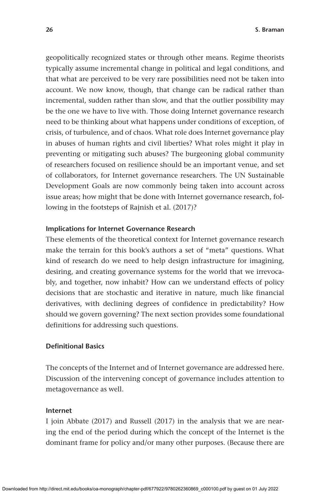geopolitically recognized states or through other means. Regime theorists typically assume incremental change in political and legal conditions, and that what are perceived to be very rare possibilities need not be taken into account. We now know, though, that change can be radical rather than incremental, sudden rather than slow, and that the outlier possibility may be the one we have to live with. Those doing Internet governance research need to be thinking about what happens under conditions of exception, of crisis, of turbulence, and of chaos. What role does Internet governance play in abuses of human rights and civil liberties? What roles might it play in preventing or mitigating such abuses? The burgeoning global community of researchers focused on resilience should be an important venue, and set of collaborators, for Internet governance researchers. The UN Sustainable Development Goals are now commonly being taken into account across issue areas; how might that be done with Internet governance research, following in the footsteps of Rajnish et al. (2017)?

# **Implications for Internet Governance Research**

These elements of the theoretical context for Internet governance research make the terrain for this book's authors a set of "meta" questions. What kind of research do we need to help design infrastructure for imagining, desiring, and creating governance systems for the world that we irrevocably, and together, now inhabit? How can we understand effects of policy decisions that are stochastic and iterative in nature, much like financial derivatives, with declining degrees of confidence in predictability? How should we govern governing? The next section provides some foundational definitions for addressing such questions.

## **Definitional Basics**

The concepts of the Internet and of Internet governance are addressed here. Discussion of the intervening concept of governance includes attention to metagovernance as well.

## **Internet**

I join Abbate (2017) and Russell (2017) in the analysis that we are nearing the end of the period during which the concept of the Internet is the dominant frame for policy and/or many other purposes. (Because there are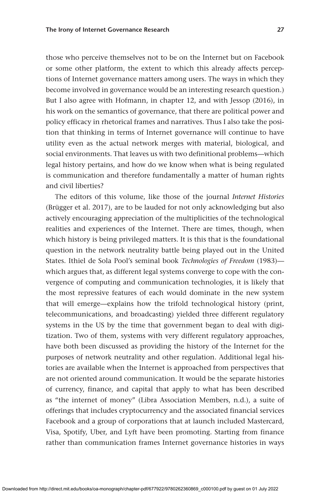those who perceive themselves not to be on the Internet but on Facebook or some other platform, the extent to which this already affects perceptions of Internet governance matters among users. The ways in which they become involved in governance would be an interesting research question.) But I also agree with Hofmann, in chapter 12, and with Jessop (2016), in his work on the semantics of governance, that there are political power and policy efficacy in rhetorical frames and narratives. Thus I also take the position that thinking in terms of Internet governance will continue to have utility even as the actual network merges with material, biological, and social environments. That leaves us with two definitional problems—which legal history pertains, and how do we know when what is being regulated is communication and therefore fundamentally a matter of human rights and civil liberties?

The editors of this volume, like those of the journal *Internet Histories* (Brügger et al. 2017), are to be lauded for not only acknowledging but also actively encouraging appreciation of the multiplicities of the technological realities and experiences of the Internet. There are times, though, when which history is being privileged matters. It is this that is the foundational question in the network neutrality battle being played out in the United States. Ithiel de Sola Pool's seminal book *Technologies of Freedom* (1983) which argues that, as different legal systems converge to cope with the convergence of computing and communication technologies, it is likely that the most repressive features of each would dominate in the new system that will emerge—explains how the trifold technological history (print, telecommunications, and broadcasting) yielded three different regulatory systems in the US by the time that government began to deal with digitization. Two of them, systems with very different regulatory approaches, have both been discussed as providing the history of the Internet for the purposes of network neutrality and other regulation. Additional legal histories are available when the Internet is approached from perspectives that are not oriented around communication. It would be the separate histories of currency, finance, and capital that apply to what has been described as "the internet of money" (Libra Association Members, n.d.), a suite of offerings that includes cryptocurrency and the associated financial services Facebook and a group of corporations that at launch included Mastercard, Visa, Spotify, Uber, and Lyft have been promoting. Starting from finance rather than communication frames Internet governance histories in ways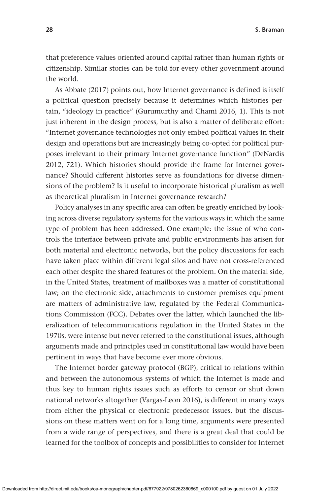that preference values oriented around capital rather than human rights or citizenship. Similar stories can be told for every other government around the world.

As Abbate (2017) points out, how Internet governance is defined is itself a political question precisely because it determines which histories pertain, "ideology in practice" (Gurumurthy and Chami 2016, 1). This is not just inherent in the design process, but is also a matter of deliberate effort: "Internet governance technologies not only embed political values in their design and operations but are increasingly being co-opted for political purposes irrelevant to their primary Internet governance function" (DeNardis 2012, 721). Which histories should provide the frame for Internet governance? Should different histories serve as foundations for diverse dimensions of the problem? Is it useful to incorporate historical pluralism as well as theoretical pluralism in Internet governance research?

Policy analyses in any specific area can often be greatly enriched by looking across diverse regulatory systems for the various ways in which the same type of problem has been addressed. One example: the issue of who controls the interface between private and public environments has arisen for both material and electronic networks, but the policy discussions for each have taken place within different legal silos and have not cross-referenced each other despite the shared features of the problem. On the material side, in the United States, treatment of mailboxes was a matter of constitutional law; on the electronic side, attachments to customer premises equipment are matters of administrative law, regulated by the Federal Communications Commission (FCC). Debates over the latter, which launched the liberalization of telecommunications regulation in the United States in the 1970s, were intense but never referred to the constitutional issues, although arguments made and principles used in constitutional law would have been pertinent in ways that have become ever more obvious.

The Internet border gateway protocol (BGP), critical to relations within and between the autonomous systems of which the Internet is made and thus key to human rights issues such as efforts to censor or shut down national networks altogether (Vargas-Leon 2016), is different in many ways from either the physical or electronic predecessor issues, but the discussions on these matters went on for a long time, arguments were presented from a wide range of perspectives, and there is a great deal that could be learned for the toolbox of concepts and possibilities to consider for Internet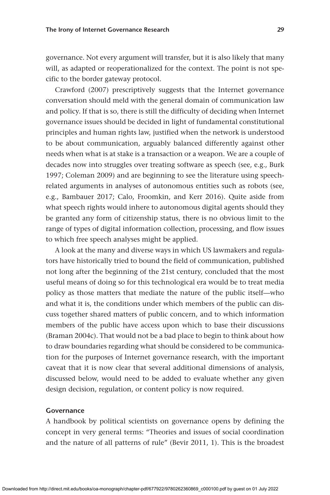governance. Not every argument will transfer, but it is also likely that many will, as adapted or reoperationalized for the context. The point is not specific to the border gateway protocol.

Crawford (2007) prescriptively suggests that the Internet governance conversation should meld with the general domain of communication law and policy. If that is so, there is still the difficulty of deciding when Internet governance issues should be decided in light of fundamental constitutional principles and human rights law, justified when the network is understood to be about communication, arguably balanced differently against other needs when what is at stake is a transaction or a weapon. We are a couple of decades now into struggles over treating software as speech (see, e.g., Burk 1997; Coleman 2009) and are beginning to see the literature using speechrelated arguments in analyses of autonomous entities such as robots (see, e.g., Bambauer 2017; Calo, Froomkin, and Kerr 2016). Quite aside from what speech rights would inhere to autonomous digital agents should they be granted any form of citizenship status, there is no obvious limit to the range of types of digital information collection, processing, and flow issues to which free speech analyses might be applied.

A look at the many and diverse ways in which US lawmakers and regulators have historically tried to bound the field of communication, published not long after the beginning of the 21st century, concluded that the most useful means of doing so for this technological era would be to treat media policy as those matters that mediate the nature of the public itself—who and what it is, the conditions under which members of the public can discuss together shared matters of public concern, and to which information members of the public have access upon which to base their discussions (Braman 2004c). That would not be a bad place to begin to think about how to draw boundaries regarding what should be considered to be communication for the purposes of Internet governance research, with the important caveat that it is now clear that several additional dimensions of analysis, discussed below, would need to be added to evaluate whether any given design decision, regulation, or content policy is now required.

## **Governance**

A handbook by political scientists on governance opens by defining the concept in very general terms: "Theories and issues of social coordination and the nature of all patterns of rule" (Bevir 2011, 1). This is the broadest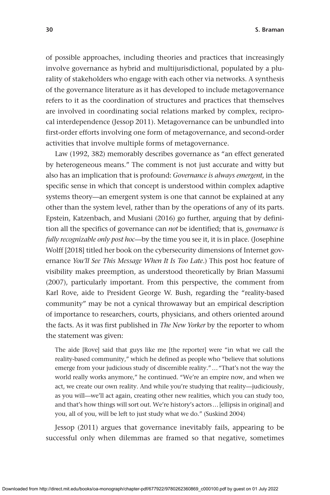of possible approaches, including theories and practices that increasingly involve governance as hybrid and multijurisdictional, populated by a plurality of stakeholders who engage with each other via networks. A synthesis of the governance literature as it has developed to include metagovernance refers to it as the coordination of structures and practices that themselves are involved in coordinating social relations marked by complex, reciprocal interdependence (Jessop 2011). Metagovernance can be unbundled into first-order efforts involving one form of metagovernance, and second-order activities that involve multiple forms of metagovernance.

Law (1992, 382) memorably describes governance as "an effect generated by heterogeneous means." The comment is not just accurate and witty but also has an implication that is profound: *Governance is always emergent*, in the specific sense in which that concept is understood within complex adaptive systems theory—an emergent system is one that cannot be explained at any other than the system level, rather than by the operations of any of its parts. Epstein, Katzenbach, and Musiani (2016) go further, arguing that by definition all the specifics of governance can *not* be identified; that is, *governance is fully recognizable only post hoc*—by the time you see it, it is in place. (Josephine Wolff [2018] titled her book on the cybersecurity dimensions of Internet governance *You'll See This Message When It Is Too Late*.) This post hoc feature of visibility makes preemption, as understood theoretically by Brian Massumi (2007), particularly important. From this perspective, the comment from Karl Rove, aide to President George W. Bush, regarding the "reality-based community" may be not a cynical throwaway but an empirical description of importance to researchers, courts, physicians, and others oriented around the facts. As it was first published in *The New Yorker* by the reporter to whom the statement was given:

The aide [Rove] said that guys like me [the reporter] were "in what we call the reality-based community," which he defined as people who "believe that solutions emerge from your judicious study of discernible reality."…"That's not the way the world really works anymore," he continued. "We're an empire now, and when we act, we create our own reality. And while you're studying that reality—judiciously, as you will—we'll act again, creating other new realities, which you can study too, and that's how things will sort out. We're history's actors…[ellipsis in original] and you, all of you, will be left to just study what we do." (Suskind 2004)

Jessop (2011) argues that governance inevitably fails, appearing to be successful only when dilemmas are framed so that negative, sometimes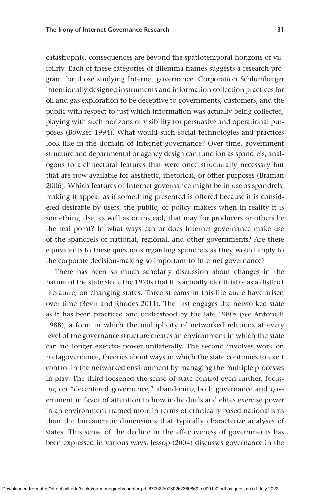catastrophic, consequences are beyond the spatiotemporal horizons of visibility. Each of these categories of dilemma frames suggests a research program for those studying Internet governance. Corporation Schlumberger intentionally designed instruments and information collection practices for oil and gas exploration to be deceptive to governments, customers, and the public with respect to just which information was actually being collected, playing with such horizons of visibility for persuasive and operational purposes (Bowker 1994). What would such social technologies and practices look like in the domain of Internet governance? Over time, government structure and departmental or agency design can function as spandrels, analogous to architectural features that were once structurally necessary but that are now available for aesthetic, rhetorical, or other purposes (Braman 2006). Which features of Internet governance might be in use as spandrels, making it appear as if something presented is offered because it is considered desirable by users, the public, or policy makers when in reality it is something else, as well as or instead, that may for producers or others be the real point? In what ways can or does Internet governance make use of the spandrels of national, regional, and other governments? Are there equivalents to these questions regarding spandrels as they would apply to the corporate decision-making so important to Internet governance?

There has been so much scholarly discussion about changes in the nature of the state since the 1970s that it is actually identifiable as a distinct literature, on changing states. Three streams in this literature have arisen over time (Bevir and Rhodes 2011). The first engages the networked state as it has been practiced and understood by the late 1980s (see Antonelli 1988), a form in which the multiplicity of networked relations at every level of the governance structure creates an environment in which the state can no longer exercise power unilaterally. The second involves work on metagovernance, theories about ways in which the state continues to exert control in the networked environment by managing the multiple processes in play. The third loosened the sense of state control even further, focusing on "decentered governance," abandoning both governance and government in favor of attention to how individuals and elites exercise power in an environment framed more in terms of ethnically based nationalisms than the bureaucratic dimensions that typically characterize analyses of states. This sense of the decline in the effectiveness of governments has been expressed in various ways. Jessop (2004) discusses governance in the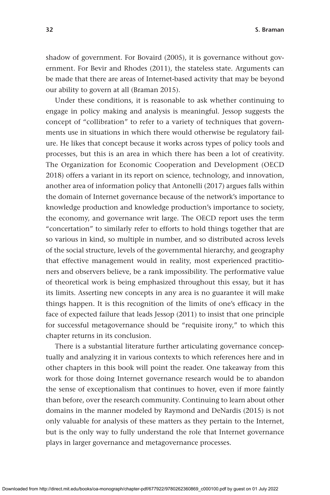shadow of government. For Bovaird (2005), it is governance without government. For Bevir and Rhodes (2011), the stateless state. Arguments can be made that there are areas of Internet-based activity that may be beyond our ability to govern at all (Braman 2015).

Under these conditions, it is reasonable to ask whether continuing to engage in policy making and analysis is meaningful. Jessop suggests the concept of "collibration" to refer to a variety of techniques that governments use in situations in which there would otherwise be regulatory failure. He likes that concept because it works across types of policy tools and processes, but this is an area in which there has been a lot of creativity. The Organization for Economic Cooperation and Development (OECD 2018) offers a variant in its report on science, technology, and innovation, another area of information policy that Antonelli (2017) argues falls within the domain of Internet governance because of the network's importance to knowledge production and knowledge production's importance to society, the economy, and governance writ large. The OECD report uses the term "concertation" to similarly refer to efforts to hold things together that are so various in kind, so multiple in number, and so distributed across levels of the social structure, levels of the governmental hierarchy, and geography that effective management would in reality, most experienced practitioners and observers believe, be a rank impossibility. The performative value of theoretical work is being emphasized throughout this essay, but it has its limits. Asserting new concepts in any area is no guarantee it will make things happen. It is this recognition of the limits of one's efficacy in the face of expected failure that leads Jessop (2011) to insist that one principle for successful metagovernance should be "requisite irony," to which this chapter returns in its conclusion.

There is a substantial literature further articulating governance conceptually and analyzing it in various contexts to which references here and in other chapters in this book will point the reader. One takeaway from this work for those doing Internet governance research would be to abandon the sense of exceptionalism that continues to hover, even if more faintly than before, over the research community. Continuing to learn about other domains in the manner modeled by Raymond and DeNardis (2015) is not only valuable for analysis of these matters as they pertain to the Internet, but is the only way to fully understand the role that Internet governance plays in larger governance and metagovernance processes.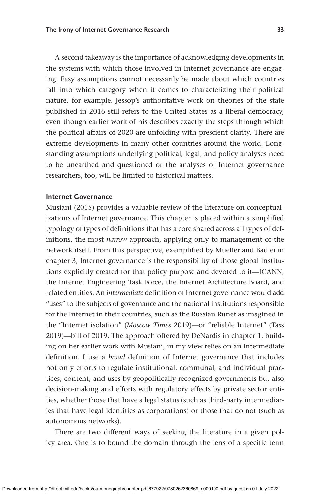A second takeaway is the importance of acknowledging developments in the systems with which those involved in Internet governance are engaging. Easy assumptions cannot necessarily be made about which countries fall into which category when it comes to characterizing their political nature, for example. Jessop's authoritative work on theories of the state published in 2016 still refers to the United States as a liberal democracy, even though earlier work of his describes exactly the steps through which the political affairs of 2020 are unfolding with prescient clarity. There are extreme developments in many other countries around the world. Longstanding assumptions underlying political, legal, and policy analyses need to be unearthed and questioned or the analyses of Internet governance researchers, too, will be limited to historical matters.

## **Internet Governance**

Musiani (2015) provides a valuable review of the literature on conceptualizations of Internet governance. This chapter is placed within a simplified typology of types of definitions that has a core shared across all types of definitions, the most *narrow* approach, applying only to management of the network itself. From this perspective, exemplified by Mueller and Badiei in chapter 3, Internet governance is the responsibility of those global institutions explicitly created for that policy purpose and devoted to it—ICANN, the Internet Engineering Task Force, the Internet Architecture Board, and related entities. An *intermediate* definition of Internet governance would add "uses" to the subjects of governance and the national institutions responsible for the Internet in their countries, such as the Russian Runet as imagined in the "Internet isolation" (*Moscow Times* 2019)—or "reliable Internet" (Tass 2019)—bill of 2019. The approach offered by DeNardis in chapter 1, building on her earlier work with Musiani, in my view relies on an intermediate definition. I use a *broad* definition of Internet governance that includes not only efforts to regulate institutional, communal, and individual practices, content, and uses by geopolitically recognized governments but also decision-making and efforts with regulatory effects by private sector entities, whether those that have a legal status (such as third-party intermediaries that have legal identities as corporations) or those that do not (such as autonomous networks).

There are two different ways of seeking the literature in a given policy area. One is to bound the domain through the lens of a specific term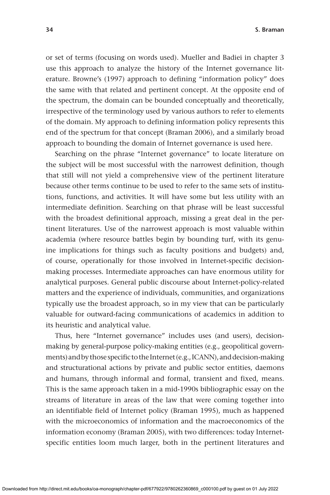or set of terms (focusing on words used). Mueller and Badiei in chapter 3 use this approach to analyze the history of the Internet governance literature. Browne's (1997) approach to defining "information policy" does the same with that related and pertinent concept. At the opposite end of the spectrum, the domain can be bounded conceptually and theoretically, irrespective of the terminology used by various authors to refer to elements of the domain. My approach to defining information policy represents this end of the spectrum for that concept (Braman 2006), and a similarly broad approach to bounding the domain of Internet governance is used here.

Searching on the phrase "Internet governance" to locate literature on the subject will be most successful with the narrowest definition, though that still will not yield a comprehensive view of the pertinent literature because other terms continue to be used to refer to the same sets of institutions, functions, and activities. It will have some but less utility with an intermediate definition. Searching on that phrase will be least successful with the broadest definitional approach, missing a great deal in the pertinent literatures. Use of the narrowest approach is most valuable within academia (where resource battles begin by bounding turf, with its genuine implications for things such as faculty positions and budgets) and, of course, operationally for those involved in Internet-specific decisionmaking processes. Intermediate approaches can have enormous utility for analytical purposes. General public discourse about Internet-policy-related matters and the experience of individuals, communities, and organizations typically use the broadest approach, so in my view that can be particularly valuable for outward-facing communications of academics in addition to its heuristic and analytical value.

Thus, here "Internet governance" includes uses (and users), decisionmaking by general-purpose policy-making entities (e.g., geopolitical governments) and by those specific to the Internet (e.g., ICANN), and decision-making and structurational actions by private and public sector entities, daemons and humans, through informal and formal, transient and fixed, means. This is the same approach taken in a mid-1990s bibliographic essay on the streams of literature in areas of the law that were coming together into an identifiable field of Internet policy (Braman 1995), much as happened with the microeconomics of information and the macroeconomics of the information economy (Braman 2005), with two differences: today Internetspecific entities loom much larger, both in the pertinent literatures and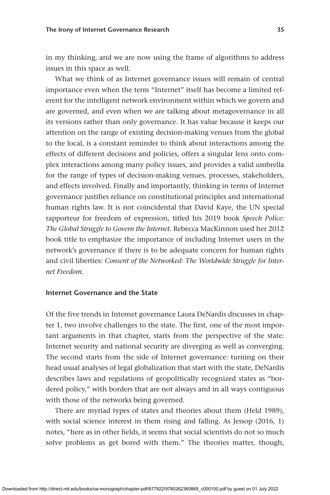in my thinking, and we are now using the frame of algorithms to address issues in this space as well.

What we think of as Internet governance issues will remain of central importance even when the term "Internet" itself has become a limited referent for the intelligent network environment within which we govern and are governed, and even when we are talking about metagovernance in all its versions rather than only governance. It has value because it keeps our attention on the range of existing decision-making venues from the global to the local, is a constant reminder to think about interactions among the effects of different decisions and policies, offers a singular lens onto complex interactions among many policy issues, and provides a valid umbrella for the range of types of decision-making venues, processes, stakeholders, and effects involved. Finally and importantly, thinking in terms of Internet governance justifies reliance on constitutional principles and international human rights law. It is not coincidental that David Kaye, the UN special rapporteur for freedom of expression, titled his 2019 book *Speech Police: The Global Struggle to Govern the Internet*. Rebecca MacKinnon used her 2012 book title to emphasize the importance of including Internet users in the network's governance if there is to be adequate concern for human rights and civil liberties: *Consent of the Networked: The Worldwide Struggle for Internet Freedom*.

#### **Internet Governance and the State**

Of the five trends in Internet governance Laura DeNardis discusses in chapter 1, two involve challenges to the state. The first, one of the most important arguments in that chapter, starts from the perspective of the state: Internet security and national security are diverging as well as converging. The second starts from the side of Internet governance: turning on their head usual analyses of legal globalization that start with the state, DeNardis describes laws and regulations of geopolitically recognized states as "bordered policy," with borders that are not always and in all ways contiguous with those of the networks being governed.

There are myriad types of states and theories about them (Held 1989), with social science interest in them rising and falling. As Jessop (2016, 1) notes, "here as in other fields, it seems that social scientists do not so much solve problems as get bored with them." The theories matter, though,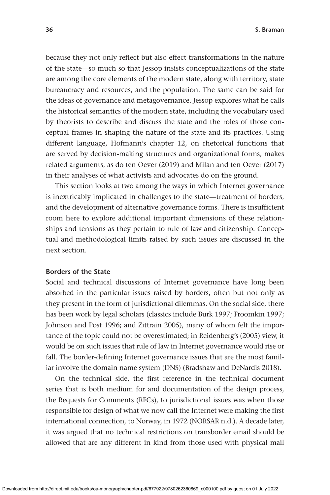because they not only reflect but also effect transformations in the nature of the state—so much so that Jessop insists conceptualizations of the state are among the core elements of the modern state, along with territory, state bureaucracy and resources, and the population. The same can be said for the ideas of governance and metagovernance. Jessop explores what he calls the historical semantics of the modern state, including the vocabulary used by theorists to describe and discuss the state and the roles of those conceptual frames in shaping the nature of the state and its practices. Using different language, Hofmann's chapter 12, on rhetorical functions that are served by decision-making structures and organizational forms, makes related arguments, as do ten Oever (2019) and Milan and ten Oever (2017) in their analyses of what activists and advocates do on the ground.

This section looks at two among the ways in which Internet governance is inextricably implicated in challenges to the state—treatment of borders, and the development of alternative governance forms. There is insufficient room here to explore additional important dimensions of these relationships and tensions as they pertain to rule of law and citizenship. Conceptual and methodological limits raised by such issues are discussed in the next section.

# **Borders of the State**

Social and technical discussions of Internet governance have long been absorbed in the particular issues raised by borders, often but not only as they present in the form of jurisdictional dilemmas. On the social side, there has been work by legal scholars (classics include Burk 1997; Froomkin 1997; Johnson and Post 1996; and Zittrain 2005), many of whom felt the importance of the topic could not be overestimated; in Reidenberg's (2005) view, it would be on such issues that rule of law in Internet governance would rise or fall. The border-defining Internet governance issues that are the most familiar involve the domain name system (DNS) (Bradshaw and DeNardis 2018).

On the technical side, the first reference in the technical document series that is both medium for and documentation of the design process, the Requests for Comments (RFCs), to jurisdictional issues was when those responsible for design of what we now call the Internet were making the first international connection, to Norway, in 1972 (NORSAR n.d.). A decade later, it was argued that no technical restrictions on transborder email should be allowed that are any different in kind from those used with physical mail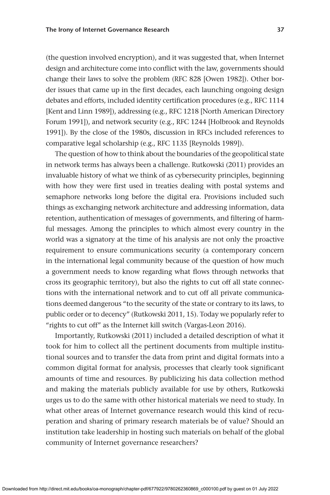(the question involved encryption), and it was suggested that, when Internet design and architecture come into conflict with the law, governments should change their laws to solve the problem (RFC 828 [Owen 1982]). Other border issues that came up in the first decades, each launching ongoing design debates and efforts, included identity certification procedures (e.g., RFC 1114 [Kent and Linn 1989]), addressing (e.g., RFC 1218 [North American Directory Forum 1991]), and network security (e.g., RFC 1244 [Holbrook and Reynolds 1991]). By the close of the 1980s, discussion in RFCs included references to comparative legal scholarship (e.g., RFC 1135 [Reynolds 1989]).

The question of how to think about the boundaries of the geopolitical state in network terms has always been a challenge. Rutkowski (2011) provides an invaluable history of what we think of as cybersecurity principles, beginning with how they were first used in treaties dealing with postal systems and semaphore networks long before the digital era. Provisions included such things as exchanging network architecture and addressing information, data retention, authentication of messages of governments, and filtering of harmful messages. Among the principles to which almost every country in the world was a signatory at the time of his analysis are not only the proactive requirement to ensure communications security (a contemporary concern in the international legal community because of the question of how much a government needs to know regarding what flows through networks that cross its geographic territory), but also the rights to cut off all state connections with the international network and to cut off all private communications deemed dangerous "to the security of the state or contrary to its laws, to public order or to decency" (Rutkowski 2011, 15). Today we popularly refer to "rights to cut off" as the Internet kill switch (Vargas-Leon 2016).

Importantly, Rutkowski (2011) included a detailed description of what it took for him to collect all the pertinent documents from multiple institutional sources and to transfer the data from print and digital formats into a common digital format for analysis, processes that clearly took significant amounts of time and resources. By publicizing his data collection method and making the materials publicly available for use by others, Rutkowski urges us to do the same with other historical materials we need to study. In what other areas of Internet governance research would this kind of recuperation and sharing of primary research materials be of value? Should an institution take leadership in hosting such materials on behalf of the global community of Internet governance researchers?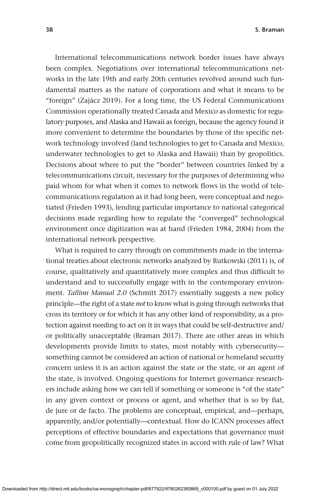International telecommunications network border issues have always been complex. Negotiations over international telecommunications networks in the late 19th and early 20th centuries revolved around such fundamental matters as the nature of corporations and what it means to be "foreign" (Zajácz 2019). For a long time, the US Federal Communications Commission operationally treated Canada and Mexico as domestic for regulatory purposes, and Alaska and Hawaii as foreign, because the agency found it more convenient to determine the boundaries by those of the specific network technology involved (land technologies to get to Canada and Mexico, underwater technologies to get to Alaska and Hawaii) than by geopolitics. Decisions about where to put the "border" between countries linked by a telecommunications circuit, necessary for the purposes of determining who paid whom for what when it comes to network flows in the world of telecommunications regulation as it had long been, were conceptual and negotiated (Frieden 1993), lending particular importance to national categorical decisions made regarding how to regulate the "converged" technological environment once digitization was at hand (Frieden 1984, 2004) from the international network perspective.

What is required to carry through on commitments made in the international treaties about electronic networks analyzed by Rutkowski (2011) is, of course, qualitatively and quantitatively more complex and thus difficult to understand and to successfully engage with in the contemporary environment. *Tallinn Manual 2.0* (Schmitt 2017) essentially suggests a new policy principle—the right of a state *not* to know what is going through networks that cross its territory or for which it has any other kind of responsibility, as a protection against needing to act on it in ways that could be self-destructive and/ or politically unacceptable (Braman 2017). There are other areas in which developments provide limits to states, most notably with cybersecurity something cannot be considered an action of national or homeland security concern unless it is an action against the state or the state, or an agent of the state, is involved. Ongoing questions for Internet governance researchers include asking how we can tell if something or someone is "of the state" in any given context or process or agent, and whether that is so by fiat, de jure or de facto. The problems are conceptual, empirical, and—perhaps, apparently, and/or potentially—contextual. How do ICANN processes affect perceptions of effective boundaries and expectations that governance must come from geopolitically recognized states in accord with rule of law? What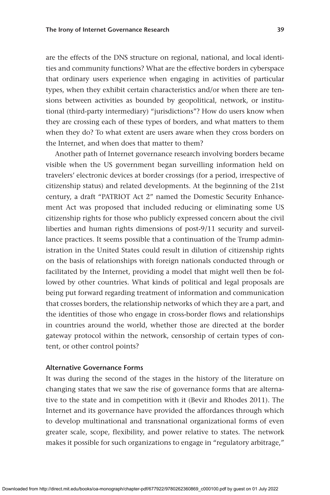are the effects of the DNS structure on regional, national, and local identities and community functions? What are the effective borders in cyberspace that ordinary users experience when engaging in activities of particular types, when they exhibit certain characteristics and/or when there are tensions between activities as bounded by geopolitical, network, or institutional (third-party intermediary) "jurisdictions"? How do users know when they are crossing each of these types of borders, and what matters to them when they do? To what extent are users aware when they cross borders on the Internet, and when does that matter to them?

Another path of Internet governance research involving borders became visible when the US government began surveilling information held on travelers' electronic devices at border crossings (for a period, irrespective of citizenship status) and related developments. At the beginning of the 21st century, a draft "PATRIOT Act 2" named the Domestic Security Enhancement Act was proposed that included reducing or eliminating some US citizenship rights for those who publicly expressed concern about the civil liberties and human rights dimensions of post-9/11 security and surveillance practices. It seems possible that a continuation of the Trump administration in the United States could result in dilution of citizenship rights on the basis of relationships with foreign nationals conducted through or facilitated by the Internet, providing a model that might well then be followed by other countries. What kinds of political and legal proposals are being put forward regarding treatment of information and communication that crosses borders, the relationship networks of which they are a part, and the identities of those who engage in cross-border flows and relationships in countries around the world, whether those are directed at the border gateway protocol within the network, censorship of certain types of content, or other control points?

## **Alternative Governance Forms**

It was during the second of the stages in the history of the literature on changing states that we saw the rise of governance forms that are alternative to the state and in competition with it (Bevir and Rhodes 2011). The Internet and its governance have provided the affordances through which to develop multinational and transnational organizational forms of even greater scale, scope, flexibility, and power relative to states. The network makes it possible for such organizations to engage in "regulatory arbitrage,"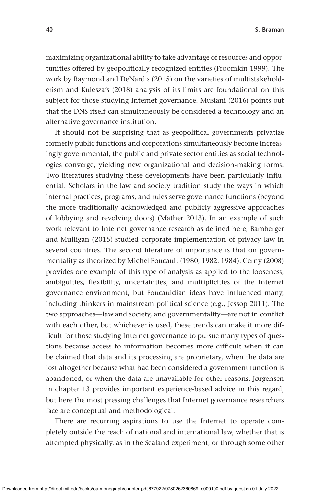maximizing organizational ability to take advantage of resources and opportunities offered by geopolitically recognized entities (Froomkin 1999). The work by Raymond and DeNardis (2015) on the varieties of multistakeholderism and Kulesza's (2018) analysis of its limits are foundational on this subject for those studying Internet governance. Musiani (2016) points out that the DNS itself can simultaneously be considered a technology and an alternative governance institution.

It should not be surprising that as geopolitical governments privatize formerly public functions and corporations simultaneously become increasingly governmental, the public and private sector entities as social technologies converge, yielding new organizational and decision-making forms. Two literatures studying these developments have been particularly influential. Scholars in the law and society tradition study the ways in which internal practices, programs, and rules serve governance functions (beyond the more traditionally acknowledged and publicly aggressive approaches of lobbying and revolving doors) (Mather 2013). In an example of such work relevant to Internet governance research as defined here, Bamberger and Mulligan (2015) studied corporate implementation of privacy law in several countries. The second literature of importance is that on governmentality as theorized by Michel Foucault (1980, 1982, 1984). Cerny (2008) provides one example of this type of analysis as applied to the looseness, ambiguities, flexibility, uncertainties, and multiplicities of the Internet governance environment, but Foucauldian ideas have influenced many, including thinkers in mainstream political science (e.g., Jessop 2011). The two approaches—law and society, and governmentality—are not in conflict with each other, but whichever is used, these trends can make it more difficult for those studying Internet governance to pursue many types of questions because access to information becomes more difficult when it can be claimed that data and its processing are proprietary, when the data are lost altogether because what had been considered a government function is abandoned, or when the data are unavailable for other reasons. Jørgensen in chapter 13 provides important experience-based advice in this regard, but here the most pressing challenges that Internet governance researchers face are conceptual and methodological.

There are recurring aspirations to use the Internet to operate completely outside the reach of national and international law, whether that is attempted physically, as in the Sealand experiment, or through some other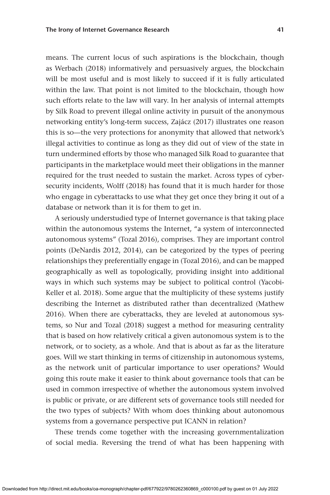means. The current locus of such aspirations is the blockchain, though as Werbach (2018) informatively and persuasively argues, the blockchain will be most useful and is most likely to succeed if it is fully articulated within the law. That point is not limited to the blockchain, though how such efforts relate to the law will vary. In her analysis of internal attempts by Silk Road to prevent illegal online activity in pursuit of the anonymous networking entity's long-term success, Zajácz (2017) illustrates one reason this is so—the very protections for anonymity that allowed that network's illegal activities to continue as long as they did out of view of the state in turn undermined efforts by those who managed Silk Road to guarantee that participants in the marketplace would meet their obligations in the manner required for the trust needed to sustain the market. Across types of cybersecurity incidents, Wolff (2018) has found that it is much harder for those who engage in cyberattacks to use what they get once they bring it out of a database or network than it is for them to get in.

A seriously understudied type of Internet governance is that taking place within the autonomous systems the Internet, "a system of interconnected autonomous systems" (Tozal 2016), comprises. They are important control points (DeNardis 2012, 2014), can be categorized by the types of peering relationships they preferentially engage in (Tozal 2016), and can be mapped geographically as well as topologically, providing insight into additional ways in which such systems may be subject to political control (Yacobi-Keller et al. 2018). Some argue that the multiplicity of these systems justify describing the Internet as distributed rather than decentralized (Mathew 2016). When there are cyberattacks, they are leveled at autonomous systems, so Nur and Tozal (2018) suggest a method for measuring centrality that is based on how relatively critical a given autonomous system is to the network, or to society, as a whole. And that is about as far as the literature goes. Will we start thinking in terms of citizenship in autonomous systems, as the network unit of particular importance to user operations? Would going this route make it easier to think about governance tools that can be used in common irrespective of whether the autonomous system involved is public or private, or are different sets of governance tools still needed for the two types of subjects? With whom does thinking about autonomous systems from a governance perspective put ICANN in relation?

These trends come together with the increasing governmentalization of social media. Reversing the trend of what has been happening with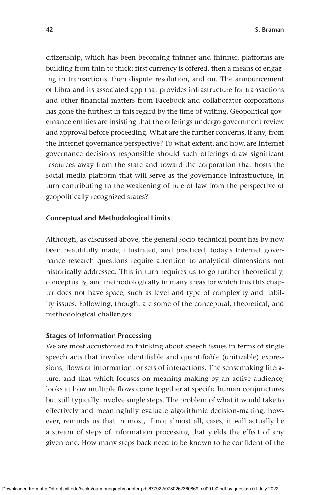citizenship, which has been becoming thinner and thinner, platforms are building from thin to thick: first currency is offered, then a means of engaging in transactions, then dispute resolution, and on. The announcement of Libra and its associated app that provides infrastructure for transactions and other financial matters from Facebook and collaborator corporations has gone the furthest in this regard by the time of writing. Geopolitical governance entities are insisting that the offerings undergo government review and approval before proceeding. What are the further concerns, if any, from the Internet governance perspective? To what extent, and how, are Internet governance decisions responsible should such offerings draw significant resources away from the state and toward the corporation that hosts the social media platform that will serve as the governance infrastructure, in turn contributing to the weakening of rule of law from the perspective of geopolitically recognized states?

## **Conceptual and Methodological Limits**

Although, as discussed above, the general socio-technical point has by now been beautifully made, illustrated, and practiced, today's Internet governance research questions require attention to analytical dimensions not historically addressed. This in turn requires us to go further theoretically, conceptually, and methodologically in many areas for which this this chapter does not have space, such as level and type of complexity and liability issues. Following, though, are some of the conceptual, theoretical, and methodological challenges.

#### **Stages of Information Processing**

We are most accustomed to thinking about speech issues in terms of single speech acts that involve identifiable and quantifiable (unitizable) expressions, flows of information, or sets of interactions. The sensemaking literature, and that which focuses on meaning making by an active audience, looks at how multiple flows come together at specific human conjunctures but still typically involve single steps. The problem of what it would take to effectively and meaningfully evaluate algorithmic decision-making, however, reminds us that in most, if not almost all, cases, it will actually be a stream of steps of information processing that yields the effect of any given one. How many steps back need to be known to be confident of the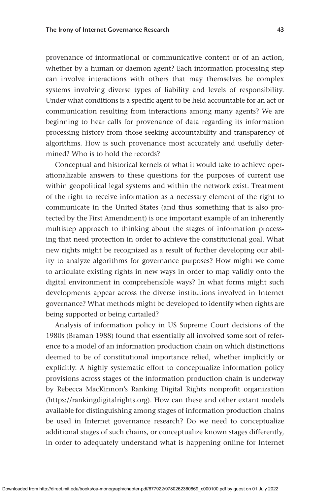provenance of informational or communicative content or of an action, whether by a human or daemon agent? Each information processing step can involve interactions with others that may themselves be complex systems involving diverse types of liability and levels of responsibility. Under what conditions is a specific agent to be held accountable for an act or communication resulting from interactions among many agents? We are beginning to hear calls for provenance of data regarding its information processing history from those seeking accountability and transparency of algorithms. How is such provenance most accurately and usefully determined? Who is to hold the records?

Conceptual and historical kernels of what it would take to achieve operationalizable answers to these questions for the purposes of current use within geopolitical legal systems and within the network exist. Treatment of the right to receive information as a necessary element of the right to communicate in the United States (and thus something that is also protected by the First Amendment) is one important example of an inherently multistep approach to thinking about the stages of information processing that need protection in order to achieve the constitutional goal. What new rights might be recognized as a result of further developing our ability to analyze algorithms for governance purposes? How might we come to articulate existing rights in new ways in order to map validly onto the digital environment in comprehensible ways? In what forms might such developments appear across the diverse institutions involved in Internet governance? What methods might be developed to identify when rights are being supported or being curtailed?

Analysis of information policy in US Supreme Court decisions of the 1980s (Braman 1988) found that essentially all involved some sort of reference to a model of an information production chain on which distinctions deemed to be of constitutional importance relied, whether implicitly or explicitly. A highly systematic effort to conceptualize information policy provisions across stages of the information production chain is underway by Rebecca MacKinnon's Ranking Digital Rights nonprofit organization [\(https://rankingdigitalrights.org](https://rankingdigitalrights.org)). How can these and other extant models available for distinguishing among stages of information production chains be used in Internet governance research? Do we need to conceptualize additional stages of such chains, or conceptualize known stages differently, in order to adequately understand what is happening online for Internet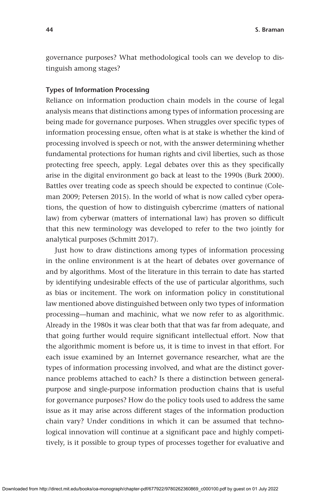governance purposes? What methodological tools can we develop to distinguish among stages?

# **Types of Information Processing**

Reliance on information production chain models in the course of legal analysis means that distinctions among types of information processing are being made for governance purposes. When struggles over specific types of information processing ensue, often what is at stake is whether the kind of processing involved is speech or not, with the answer determining whether fundamental protections for human rights and civil liberties, such as those protecting free speech, apply. Legal debates over this as they specifically arise in the digital environment go back at least to the 1990s (Burk 2000). Battles over treating code as speech should be expected to continue (Coleman 2009; Petersen 2015). In the world of what is now called cyber operations, the question of how to distinguish cybercrime (matters of national law) from cyberwar (matters of international law) has proven so difficult that this new terminology was developed to refer to the two jointly for analytical purposes (Schmitt 2017).

Just how to draw distinctions among types of information processing in the online environment is at the heart of debates over governance of and by algorithms. Most of the literature in this terrain to date has started by identifying undesirable effects of the use of particular algorithms, such as bias or incitement. The work on information policy in constitutional law mentioned above distinguished between only two types of information processing—human and machinic, what we now refer to as algorithmic. Already in the 1980s it was clear both that that was far from adequate, and that going further would require significant intellectual effort. Now that the algorithmic moment is before us, it is time to invest in that effort. For each issue examined by an Internet governance researcher, what are the types of information processing involved, and what are the distinct governance problems attached to each? Is there a distinction between generalpurpose and single-purpose information production chains that is useful for governance purposes? How do the policy tools used to address the same issue as it may arise across different stages of the information production chain vary? Under conditions in which it can be assumed that technological innovation will continue at a significant pace and highly competitively, is it possible to group types of processes together for evaluative and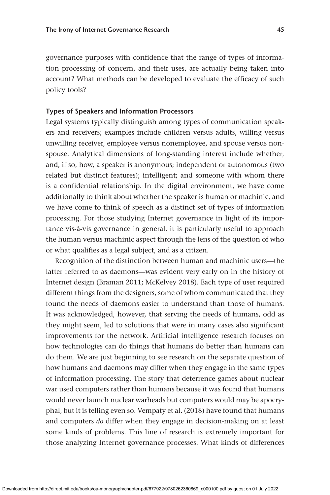governance purposes with confidence that the range of types of information processing of concern, and their uses, are actually being taken into account? What methods can be developed to evaluate the efficacy of such policy tools?

## **Types of Speakers and Information Processors**

Legal systems typically distinguish among types of communication speakers and receivers; examples include children versus adults, willing versus unwilling receiver, employee versus nonemployee, and spouse versus nonspouse. Analytical dimensions of long-standing interest include whether, and, if so, how, a speaker is anonymous; independent or autonomous (two related but distinct features); intelligent; and someone with whom there is a confidential relationship. In the digital environment, we have come additionally to think about whether the speaker is human or machinic, and we have come to think of speech as a distinct set of types of information processing. For those studying Internet governance in light of its importance vis-à-vis governance in general, it is particularly useful to approach the human versus machinic aspect through the lens of the question of who or what qualifies as a legal subject, and as a citizen.

Recognition of the distinction between human and machinic users—the latter referred to as daemons—was evident very early on in the history of Internet design (Braman 2011; McKelvey 2018). Each type of user required different things from the designers, some of whom communicated that they found the needs of daemons easier to understand than those of humans. It was acknowledged, however, that serving the needs of humans, odd as they might seem, led to solutions that were in many cases also significant improvements for the network. Artificial intelligence research focuses on how technologies can do things that humans do better than humans can do them. We are just beginning to see research on the separate question of how humans and daemons may differ when they engage in the same types of information processing. The story that deterrence games about nuclear war used computers rather than humans because it was found that humans would never launch nuclear warheads but computers would may be apocryphal, but it is telling even so. Vempaty et al. (2018) have found that humans and computers *do* differ when they engage in decision-making on at least some kinds of problems. This line of research is extremely important for those analyzing Internet governance processes. What kinds of differences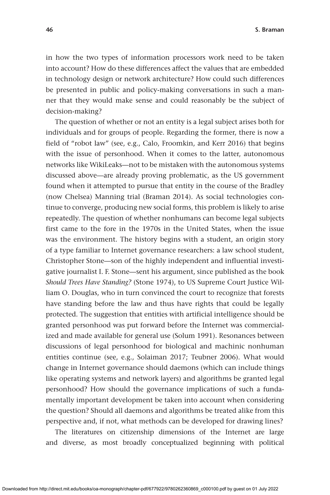in how the two types of information processors work need to be taken into account? How do these differences affect the values that are embedded in technology design or network architecture? How could such differences be presented in public and policy-making conversations in such a manner that they would make sense and could reasonably be the subject of decision-making?

The question of whether or not an entity is a legal subject arises both for individuals and for groups of people. Regarding the former, there is now a field of "robot law" (see, e.g., Calo, Froomkin, and Kerr 2016) that begins with the issue of personhood. When it comes to the latter, autonomous networks like WikiLeaks—not to be mistaken with the autonomous systems discussed above—are already proving problematic, as the US government found when it attempted to pursue that entity in the course of the Bradley (now Chelsea) Manning trial (Braman 2014). As social technologies continue to converge, producing new social forms, this problem is likely to arise repeatedly. The question of whether nonhumans can become legal subjects first came to the fore in the 1970s in the United States, when the issue was the environment. The history begins with a student, an origin story of a type familiar to Internet governance researchers: a law school student, Christopher Stone—son of the highly independent and influential investigative journalist I. F. Stone—sent his argument, since published as the book *Should Trees Have Standing?* (Stone 1974), to US Supreme Court Justice William O. Douglas, who in turn convinced the court to recognize that forests have standing before the law and thus have rights that could be legally protected. The suggestion that entities with artificial intelligence should be granted personhood was put forward before the Internet was commercialized and made available for general use (Solum 1991). Resonances between discussions of legal personhood for biological and machinic nonhuman entities continue (see, e.g., Solaiman 2017; Teubner 2006). What would change in Internet governance should daemons (which can include things like operating systems and network layers) and algorithms be granted legal personhood? How should the governance implications of such a fundamentally important development be taken into account when considering the question? Should all daemons and algorithms be treated alike from this perspective and, if not, what methods can be developed for drawing lines?

The literatures on citizenship dimensions of the Internet are large and diverse, as most broadly conceptualized beginning with political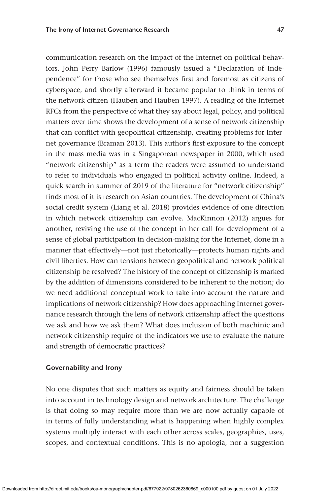communication research on the impact of the Internet on political behaviors. John Perry Barlow (1996) famously issued a "Declaration of Independence" for those who see themselves first and foremost as citizens of cyberspace, and shortly afterward it became popular to think in terms of the network citizen (Hauben and Hauben 1997). A reading of the Internet RFCs from the perspective of what they say about legal, policy, and political matters over time shows the development of a sense of network citizenship that can conflict with geopolitical citizenship, creating problems for Internet governance (Braman 2013). This author's first exposure to the concept in the mass media was in a Singaporean newspaper in 2000, which used "network citizenship" as a term the readers were assumed to understand to refer to individuals who engaged in political activity online. Indeed, a quick search in summer of 2019 of the literature for "network citizenship" finds most of it is research on Asian countries. The development of China's social credit system (Liang et al. 2018) provides evidence of one direction in which network citizenship can evolve. MacKinnon (2012) argues for another, reviving the use of the concept in her call for development of a sense of global participation in decision-making for the Internet, done in a manner that effectively—not just rhetorically—protects human rights and civil liberties. How can tensions between geopolitical and network political citizenship be resolved? The history of the concept of citizenship is marked by the addition of dimensions considered to be inherent to the notion; do we need additional conceptual work to take into account the nature and implications of network citizenship? How does approaching Internet governance research through the lens of network citizenship affect the questions we ask and how we ask them? What does inclusion of both machinic and network citizenship require of the indicators we use to evaluate the nature and strength of democratic practices?

## **Governability and Irony**

No one disputes that such matters as equity and fairness should be taken into account in technology design and network architecture. The challenge is that doing so may require more than we are now actually capable of in terms of fully understanding what is happening when highly complex systems multiply interact with each other across scales, geographies, uses, scopes, and contextual conditions. This is no apologia, nor a suggestion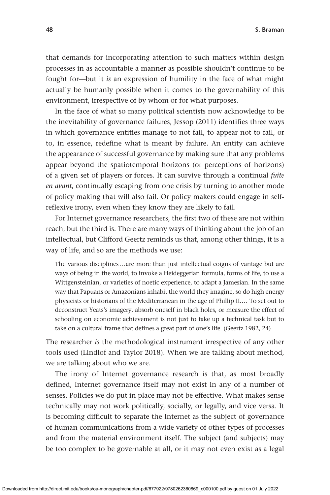that demands for incorporating attention to such matters within design processes in as accountable a manner as possible shouldn't continue to be fought for—but it *is* an expression of humility in the face of what might actually be humanly possible when it comes to the governability of this environment, irrespective of by whom or for what purposes.

In the face of what so many political scientists now acknowledge to be the inevitability of governance failures, Jessop (2011) identifies three ways in which governance entities manage to not fail, to appear not to fail, or to, in essence, redefine what is meant by failure. An entity can achieve the appearance of successful governance by making sure that any problems appear beyond the spatiotemporal horizons (or perceptions of horizons) of a given set of players or forces. It can survive through a continual *fuite en avant*, continually escaping from one crisis by turning to another mode of policy making that will also fail. Or policy makers could engage in selfreflexive irony, even when they know they are likely to fail.

For Internet governance researchers, the first two of these are not within reach, but the third is. There are many ways of thinking about the job of an intellectual, but Clifford Geertz reminds us that, among other things, it is a way of life, and so are the methods we use:

The various disciplines…are more than just intellectual coigns of vantage but are ways of being in the world, to invoke a Heideggerian formula, forms of life, to use a Wittgensteinian, or varieties of noetic experience, to adapt a Jamesian. In the same way that Papuans or Amazonians inhabit the world they imagine, so do high energy physicists or historians of the Mediterranean in the age of Phillip II.… To set out to deconstruct Yeats's imagery, absorb oneself in black holes, or measure the effect of schooling on economic achievement is not just to take up a technical task but to take on a cultural frame that defines a great part of one's life. (Geertz 1982, 24)

The researcher *is* the methodological instrument irrespective of any other tools used (Lindlof and Taylor 2018). When we are talking about method, we are talking about who we are.

The irony of Internet governance research is that, as most broadly defined, Internet governance itself may not exist in any of a number of senses. Policies we do put in place may not be effective. What makes sense technically may not work politically, socially, or legally, and vice versa. It is becoming difficult to separate the Internet as the subject of governance of human communications from a wide variety of other types of processes and from the material environment itself. The subject (and subjects) may be too complex to be governable at all, or it may not even exist as a legal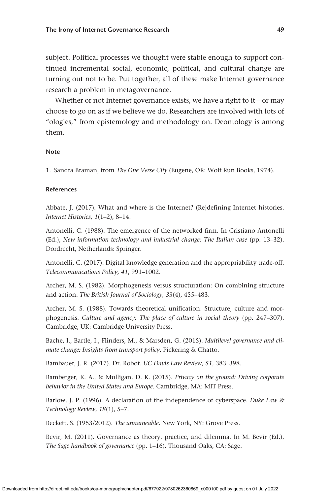subject. Political processes we thought were stable enough to support continued incremental social, economic, political, and cultural change are turning out not to be. Put together, all of these make Internet governance research a problem in metagovernance.

Whether or not Internet governance exists, we have a right to it—or may choose to go on as if we believe we do. Researchers are involved with lots of "ologies," from epistemology and methodology on. Deontology is among them.

#### **Note**

1. Sandra Braman, from *The One Verse City* (Eugene, OR: Wolf Run Books, 1974).

#### **References**

Abbate, J. (2017). What and where is the Internet? (Re)defining Internet histories. *Internet Histories, 1*(1–2), 8–14.

Antonelli, C. (1988). The emergence of the networked firm. In Cristiano Antonelli (Ed.), *New information technology and industrial change: The Italian case* (pp. 13–32). Dordrecht, Netherlands: Springer.

Antonelli, C. (2017). Digital knowledge generation and the appropriability trade-off. *Telecommunications Policy, 41*, 991–1002.

Archer, M. S. (1982). Morphogenesis versus structuration: On combining structure and action. *The British Journal of Sociology, 33*(4), 455–483.

Archer, M. S. (1988). Towards theoretical unification: Structure, culture and morphogenesis. *Culture and agency: The place of culture in social theory* (pp. 247–307). Cambridge, UK: Cambridge University Press.

Bache, I., Bartle, I., Flinders, M., & Marsden, G. (2015). *Multilevel governance and climate change: Insights from transport policy*. Pickering & Chatto.

Bambauer, J. R. (2017). Dr. Robot. *UC Davis Law Review, 51*, 383–398.

Bamberger, K. A., & Mulligan, D. K. (2015). *Privacy on the ground: Driving corporate behavior in the United States and Europe*. Cambridge, MA: MIT Press.

Barlow, J. P. (1996). A declaration of the independence of cyberspace. *Duke Law & Technology Review, 18*(1), 5–7.

Beckett, S. (1953/2012). *The unnameable*. New York, NY: Grove Press.

Bevir, M. (2011). Governance as theory, practice, and dilemma. In M. Bevir (Ed.), *The Sage handbook of governance* (pp. 1–16). Thousand Oaks, CA: Sage.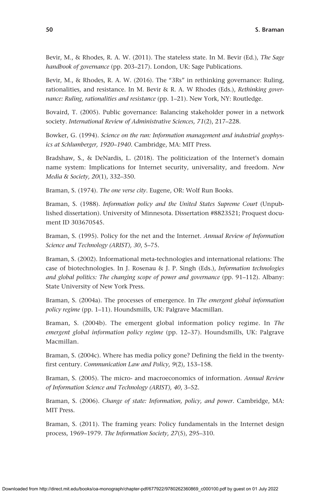Bevir, M., & Rhodes, R. A. W. (2011). The stateless state. In M. Bevir (Ed.), *The Sage handbook of governance* (pp. 203–217). London, UK: Sage Publications.

Bevir, M., & Rhodes, R. A. W. (2016). The "3Rs" in rethinking governance: Ruling, rationalities, and resistance. In M. Bevir & R. A. W Rhodes (Eds.), *Rethinking governance: Ruling, rationalities and resistance* (pp. 1–21). New York, NY: Routledge.

Bovaird, T. (2005). Public governance: Balancing stakeholder power in a network society. *International Review of Administrative Sciences, 71*(2), 217–228.

Bowker, G. (1994). *Science on the run: Information management and industrial geophysics at Schlumberger, 1920–1940*. Cambridge, MA: MIT Press.

Bradshaw, S., & DeNardis, L. (2018). The politicization of the Internet's domain name system: Implications for Internet security, universality, and freedom. *New Media & Society, 20*(1), 332–350.

Braman, S. (1974). *The one verse city*. Eugene, OR: Wolf Run Books.

Braman, S. (1988). *Information policy and the United States Supreme Court* (Unpublished dissertation). University of Minnesota. Dissertation #8823521; Proquest document ID 303670545.

Braman, S. (1995). Policy for the net and the Internet. *Annual Review of Information Science and Technology (ARIST), 30*, 5–75.

Braman, S. (2002). Informational meta-technologies and international relations: The case of biotechnologies. In J. Rosenau & J. P. Singh (Eds.), *Information technologies and global politics: The changing scope of power and governance* (pp. 91–112). Albany: State University of New York Press.

Braman, S. (2004a). The processes of emergence. In *The emergent global information policy regime* (pp. 1–11). Houndsmills, UK: Palgrave Macmillan.

Braman, S. (2004b). The emergent global information policy regime. In *The emergent global information policy regime* (pp. 12–37). Houndsmills, UK: Palgrave Macmillan.

Braman, S. (2004c). Where has media policy gone? Defining the field in the twentyfirst century. *Communication Law and Policy, 9*(2), 153–158.

Braman, S. (2005). The micro- and macroeconomics of information. *Annual Review of Information Science and Technology (ARIST), 40*, 3–52.

Braman, S. (2006). *Change of state: Information, policy, and power*. Cambridge, MA: MIT Press.

Braman, S. (2011). The framing years: Policy fundamentals in the Internet design process, 1969–1979. *The Information Society, 27*(5), 295–310.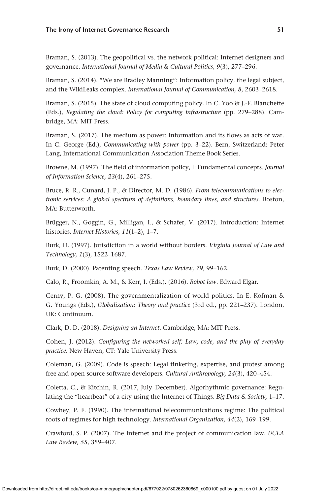Braman, S. (2013). The geopolitical vs. the network political: Internet designers and governance. *International Journal of Media & Cultural Politics, 9*(3), 277–296.

Braman, S. (2014). "We are Bradley Manning": Information policy, the legal subject, and the WikiLeaks complex. *International Journal of Communication, 8*, 2603–2618.

Braman, S. (2015). The state of cloud computing policy. In C. Yoo & J.-F. Blanchette (Eds.), *Regulating the cloud: Policy for computing infrastructure* (pp. 279–288). Cambridge, MA: MIT Press.

Braman, S. (2017). The medium as power: Information and its flows as acts of war. In C. George (Ed.), *Communicating with power* (pp. 3–22). Bern, Switzerland: Peter Lang, International Communication Association Theme Book Series.

Browne, M. (1997). The field of information policy, I: Fundamental concepts. *Journal of Information Science, 23*(4), 261–275.

Bruce, R. R., Cunard, J. P., & Director, M. D. (1986). *From telecommunications to electronic services: A global spectrum of definitions, boundary lines, and structures*. Boston, MA: Butterworth.

Brügger, N., Goggin, G., Milligan, I., & Schafer, V. (2017). Introduction: Internet histories. *Internet Histories, 11*(1–2), 1–7.

Burk, D. (1997). Jurisdiction in a world without borders. *Virginia Journal of Law and Technology, 1*(3), 1522–1687.

Burk, D. (2000). Patenting speech. *Texas Law Review, 79*, 99–162.

Calo, R., Froomkin, A. M., & Kerr, I. (Eds.). (2016). *Robot law*. Edward Elgar.

Cerny, P. G. (2008). The governmentalization of world politics. In E. Kofman & G. Youngs (Eds.), *Globalization: Theory and practice* (3rd ed., pp. 221–237). London, UK: Continuum.

Clark, D. D. (2018). *Designing an Internet*. Cambridge, MA: MIT Press.

Cohen, J. (2012). *Configuring the networked self: Law, code, and the play of everyday practice*. New Haven, CT: Yale University Press.

Coleman, G. (2009). Code is speech: Legal tinkering, expertise, and protest among free and open source software developers. *Cultural Anthropology, 24*(3), 420–454.

Coletta, C., & Kitchin, R. (2017, July–December). Algorhythmic governance: Regulating the "heartbeat" of a city using the Internet of Things. *Big Data & Society,* 1–17.

Cowhey, P. F. (1990). The international telecommunications regime: The political roots of regimes for high technology. *International Organization, 44*(2), 169–199.

Crawford, S. P. (2007). The Internet and the project of communication law. *UCLA Law Review, 55*, 359–407.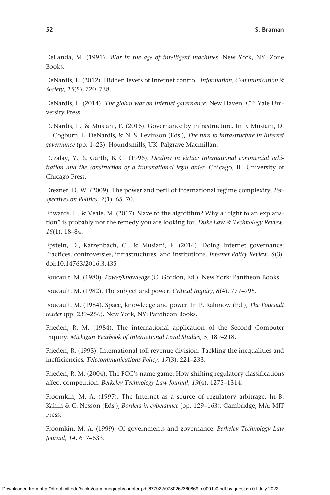DeLanda, M. (1991). *War in the age of intelligent machines*. New York, NY: Zone Books.

DeNardis, L. (2012). Hidden levers of Internet control. *Information, Communication & Society, 15*(5), 720–738.

DeNardis, L. (2014). *The global war on Internet governance*. New Haven, CT: Yale University Press.

DeNardis, L., & Musiani, F. (2016). Governance by infrastructure. In F. Musiani, D. L. Cogburn, L. DeNardis, & N. S. Levinson (Eds.), *The turn to infrastructure in Internet governance* (pp. 1–23). Houndsmills, UK: Palgrave Macmillan.

Dezalay, Y., & Garth, B. G. (1996). *Dealing in virtue: International commercial arbitration and the construction of a transnational legal order*. Chicago, IL: University of Chicago Press.

Drezner, D. W. (2009). The power and peril of international regime complexity. *Perspectives on Politics, 7*(1), 65–70.

Edwards, L., & Veale, M. (2017). Slave to the algorithm? Why a "right to an explanation" is probably not the remedy you are looking for. *Duke Law & Technology Review, 16*(1), 18–84.

Epstein, D., Katzenbach, C., & Musiani, F. (2016). Doing Internet governance: Practices, controversies, infrastructures, and institutions. *Internet Policy Review, 5*(3). doi:10.14763/2016.3.435

Foucault, M. (1980). *Power/knowledge* (C. Gordon, Ed.). New York: Pantheon Books.

Foucault, M. (1982). The subject and power. *Critical Inquiry, 8*(4), 777–795.

Foucault, M. (1984). Space, knowledge and power. In P. Rabinow (Ed.), *The Foucault reader* (pp. 239–256). New York, NY: Pantheon Books.

Frieden, R. M. (1984). The international application of the Second Computer Inquiry. *Michigan Yearbook of International Legal Studies, 5*, 189–218.

Frieden, R. (1993). International toll revenue division: Tackling the inequalities and inefficiencies. *Telecommunications Policy, 17*(3), 221–233.

Frieden, R. M. (2004). The FCC's name game: How shifting regulatory classifications affect competition. *Berkeley Technology Law Journal, 19*(4), 1275–1314.

Froomkin, M. A. (1997). The Internet as a source of regulatory arbitrage. In B. Kahin & C. Nesson (Eds.), *Borders in cyberspace* (pp. 129–163). Cambridge, MA: MIT Press.

Froomkin, M. A. (1999). Of governments and governance. *Berkeley Technology Law Journal, 14*, 617–633.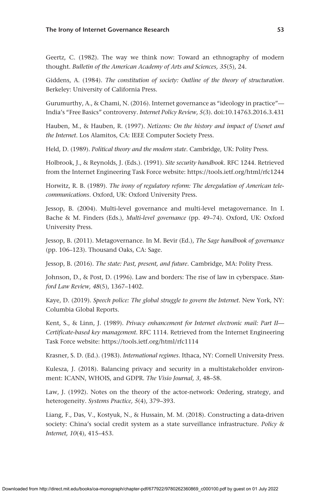Geertz, C. (1982). The way we think now: Toward an ethnography of modern thought. *Bulletin of the American Academy of Arts and Sciences, 35*(5), 24.

Giddens, A. (1984). *The constitution of society: Outline of the theory of structuration*. Berkeley: University of California Press.

Gurumurthy, A., & Chami, N. (2016). Internet governance as "ideology in practice"— India's "Free Basics" controversy. *Internet Policy Review, 5*(3). doi:10.14763.2016.3.431

Hauben, M., & Hauben, R. (1997). *Netizens: On the history and impact of Usenet and the Internet*. Los Alamitos, CA: IEEE Computer Society Press.

Held, D. (1989). *Political theory and the modern state*. Cambridge, UK: Polity Press.

Holbrook, J., & Reynolds, J. (Eds.). (1991). *Site security handbook*. RFC 1244. Retrieved from the Internet Engineering Task Force website:<https://tools.ietf.org/html/rfc1244>

Horwitz, R. B. (1989). *The irony of regulatory reform: The deregulation of American telecommunications*. Oxford, UK: Oxford University Press.

Jessop, B. (2004). Multi-level governance and multi-level metagovernance. In I. Bache & M. Finders (Eds.), *Multi-level governance* (pp. 49–74). Oxford, UK: Oxford University Press.

Jessop, B. (2011). Metagovernance. In M. Bevir (Ed.), *The Sage handbook of governance* (pp. 106–123). Thousand Oaks, CA: Sage.

Jessop, B. (2016). *The state: Past, present, and future*. Cambridge, MA: Polity Press.

Johnson, D., & Post, D. (1996). Law and borders: The rise of law in cyberspace. *Stanford Law Review, 48*(5), 1367–1402.

Kaye, D. (2019). *Speech police: The global struggle to govern the Internet*. New York, NY: Columbia Global Reports.

Kent, S., & Linn, J. (1989). *Privacy enhancement for Internet electronic mail: Part II— Certificate-based key management*. RFC 1114. Retrieved from the Internet Engineering Task Force website: <https://tools.ietf.org/html/rfc1114>

Krasner, S. D. (Ed.). (1983). *International regimes*. Ithaca, NY: Cornell University Press.

Kulesza, J. (2018). Balancing privacy and security in a multistakeholder environment: ICANN, WHOIS, and GDPR. *The Visio Journal, 3*, 48–58.

Law, J. (1992). Notes on the theory of the actor-network: Ordering, strategy, and heterogeneity. *Systems Practice, 5*(4), 379–393.

Liang, F., Das, V., Kostyuk, N., & Hussain, M. M. (2018). Constructing a data-driven society: China's social credit system as a state surveillance infrastructure. *Policy & Internet, 10*(4), 415–453.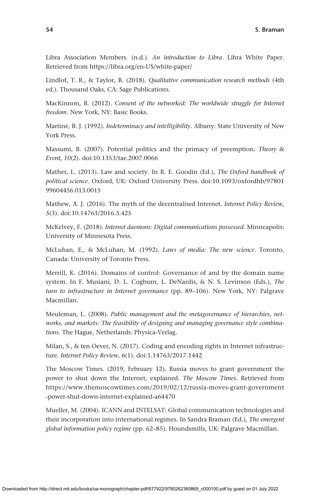Libra Association Members. (n.d.). *An introduction to Libra*. Libra White Paper. Retrieved from<https://libra.org/en-US/white-paper/>

Lindlof, T. R., & Taylor, B. (2018). *Qualitative communication research methods* (4th ed.). Thousand Oaks, CA: Sage Publications.

MacKinnon, R. (2012). *Consent of the networked: The worldwide struggle for Internet freedom*. New York, NY: Basic Books.

Martine, B. J. (1992). *Indeterminacy and intelligibility*. Albany: State University of New York Press.

Massumi, B. (2007). Potential politics and the primacy of preemption. *Theory & Event, 10*(2). doi:10.1353/tae.2007.0066

Mather, L. (2013). Law and society. In R. E. Goodin (Ed.), *The Oxford handbook of political science*. Oxford, UK: Oxford University Press. doi:10.1093/oxfordhb/97801 99604456.013.0015

Mathew, A. J. (2016). The myth of the decentralised Internet. *Internet Policy Review, 5*(3). doi:10.14763/2016.3.425

McKelvey, F. (2018). *Internet daemons: Digital communications possessed*. Minneapolis: University of Minnesota Press.

McLuhan, E., & McLuhan, M. (1992). *Laws of media: The new science*. Toronto, Canada: University of Toronto Press.

Merrill, K. (2016). Domains of control: Governance of and by the domain name system. In F. Musiani, D. L. Cogburn, L. DeNardis, & N. S. Levinson (Eds.), *The turn to infrastructure in Internet governance* (pp. 89–106). New York, NY: Palgrave Macmillan.

Meuleman, L. (2008). *Public management and the metagovernance of hierarchies, networks, and markets: The feasibility of designing and managing governance style combinations*. The Hague, Netherlands: Physica-Verlag.

Milan, S., & ten Oever, N. (2017). Coding and encoding rights in Internet infrastructure. *Internet Policy Review, 6*(1). doi:1.14763/2017.1442

The Moscow Times. (2019, February 12). Russia moves to grant government the power to shut down the Internet, explained. *The Moscow Times*. Retrieved from [https://www.themoscowtimes.com/2019/02/12/russia-moves-grant-government](https://www.themoscowtimes.com/2019/02/12/russia-moves-grant-government-power-shut-down-internet-explained-a64470) [-power-shut-down-internet-explained-a64470](https://www.themoscowtimes.com/2019/02/12/russia-moves-grant-government-power-shut-down-internet-explained-a64470)

Mueller, M. (2004). ICANN and INTELSAT: Global communication technologies and their incorporation into international regimes. In Sandra Braman (Ed.), *The emergent global information policy regime* (pp. 62–85). Houndsmills, UK: Palgrave Macmillan.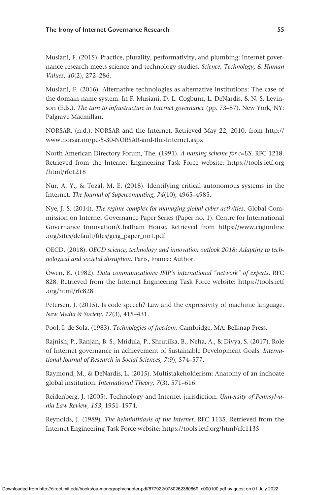Musiani, F. (2015). Practice, plurality, performativity, and plumbing: Internet governance research meets science and technology studies. *Science, Technology, & Human Values, 40*(2), 272–286.

Musiani, F. (2016). Alternative technologies as alternative institutions: The case of the domain name system. In F. Musiani, D. L. Cogburn, L. DeNardis, & N. S. Levinson (Eds.), *The turn to infrastructure in Internet governance* (pp. 73–87). New York, NY: Palgrave Macmillan.

NORSAR. (n.d.). NORSAR and the Internet. Retrieved May 22, 2010, from [http://](http://www.norsar.no/pc-5-30-NORSAR-and-the-Internet.aspx) [www.norsar.no/pc-5-30-NORSAR-and-the-Internet.aspx](http://www.norsar.no/pc-5-30-NORSAR-and-the-Internet.aspx)

North American Directory Forum, The. (1991). *A naming scheme for c*=*US*. RFC 1218. Retrieved from the Internet Engineering Task Force website: [https://tools.ietf.org](https://tools.ietf.org/html/rfc1218) [/html/rfc1218](https://tools.ietf.org/html/rfc1218)

Nur, A. Y., & Tozal, M. E. (2018). Identifying critical autonomous systems in the Internet. *The Journal of Supercomputing, 74*(10), 4965–4985.

Nye, J. S. (2014). *The regime complex for managing global cyber activities*. Global Commission on Internet Governance Paper Series (Paper no. 1). Centre for International Governance Innovation/Chatham House. Retrieved from [https://www.cigionline](https://www.cigionline.org/sites/default/files/gcig_paper_no1.pdf) [.org/sites/default/files/gcig\\_paper\\_no1.pdf](https://www.cigionline.org/sites/default/files/gcig_paper_no1.pdf)

OECD. (2018). *OECD science, technology and innovation outlook 2018: Adapting to technological and societal disruption*. Paris, France: Author.

Owen, K. (1982). *Data communications: IFIP's international "network" of experts*. RFC 828. Retrieved from the Internet Engineering Task Force website: [https://tools.ietf](https://tools.ietf.org/html/rfc828) [.org/html/rfc828](https://tools.ietf.org/html/rfc828)

Petersen, J. (2015). Is code speech? Law and the expressivity of machinic language. *New Media & Society, 17*(3), 415–431.

Pool, I. de Sola. (1983). *Technologies of freedom*. Cambridge, MA: Belknap Press.

Rajnish, P., Ranjan, B. S., Mridula, P., Shrutilka, B., Neha, A., & Divya, S. (2017). Role of Internet governance in achievement of Sustainable Development Goals. *International Journal of Research in Social Sciences, 7*(9), 574–577.

Raymond, M., & DeNardis, L. (2015). Multistakeholderism: Anatomy of an inchoate global institution. *International Theory, 7*(3), 571–616.

Reidenberg, J. (2005). Technology and Internet jurisdiction. *University of Pennsylvania Law Review, 153*, 1951–1974.

Reynolds, J. (1989). *The helminthiasis of the Internet*. RFC 1135. Retrieved from the Internet Engineering Task Force website:<https://tools.ietf.org/html/rfc1135>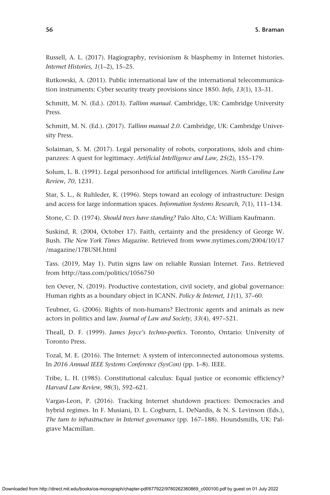Russell, A. L. (2017). Hagiography, revisionism & blasphemy in Internet histories. *Internet Histories, 1*(1–2), 15–25.

Rutkowski, A. (2011). Public international law of the international telecommunication instruments: Cyber security treaty provisions since 1850. *Info, 13*(1), 13–31.

Schmitt, M. N. (Ed.). (2013). *Tallinn manual*. Cambridge, UK: Cambridge University Press.

Schmitt, M. N. (Ed.). (2017). *Tallinn manual 2.0*. Cambridge, UK: Cambridge University Press.

Solaiman, S. M. (2017). Legal personality of robots, corporations, idols and chimpanzees: A quest for legitimacy. *Artificial Intelligence and Law, 25*(2), 155–179.

Solum, L. B. (1991). Legal personhood for artificial intelligences. *North Carolina Law Review, 70*, 1231.

Star, S. L., & Ruhleder, K. (1996). Steps toward an ecology of infrastructure: Design and access for large information spaces. *Information Systems Research, 7*(1), 111–134.

Stone, C. D. (1974). *Should trees have standing?* Palo Alto, CA: William Kaufmann.

Suskind, R. (2004, October 17). Faith, certainty and the presidency of George W. Bush. *The New York Times Magazine*. Retrieved from [www.nytimes.com/2004/10/17](http://www.nytimes.com/2004/10/17/magazine/17BUSH.html) [/magazine/17BUSH.html](http://www.nytimes.com/2004/10/17/magazine/17BUSH.html)

Tass. (2019, May 1). Putin signs law on reliable Russian Internet. *Tass*. Retrieved from<http://tass.com/politics/1056750>

ten Oever, N. (2019). Productive contestation, civil society, and global governance: Human rights as a boundary object in ICANN. *Policy & Internet, 11*(1), 37–60.

Teubner, G. (2006). Rights of non-humans? Electronic agents and animals as new actors in politics and law. *Journal of Law and Society, 33*(4), 497–521.

Theall, D. F. (1999). *James Joyce's techno-poetics*. Toronto, Ontario: University of Toronto Press.

Tozal, M. E. (2016). The Internet: A system of interconnected autonomous systems. In *2016 Annual IEEE Systems Conference (SysCon)* (pp. 1–8). IEEE.

Tribe, L. H. (1985). Constitutional calculus: Equal justice or economic efficiency? *Harvard Law Review, 98*(3), 592–621.

Vargas-Leon, P. (2016). Tracking Internet shutdown practices: Democracies and hybrid regimes. In F. Musiani, D. L. Cogburn, L. DeNardis, & N. S. Levinson (Eds.), *The turn to infrastructure in Internet governance* (pp. 167–188). Houndsmills, UK: Palgrave Macmillan.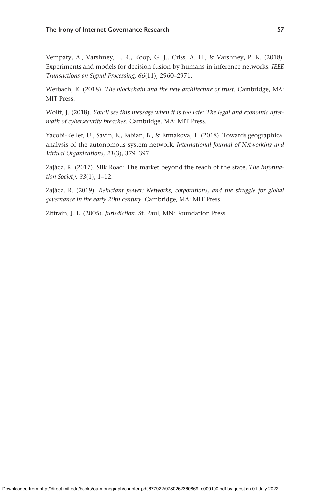Vempaty, A., Varshney, L. R., Koop, G. J., Criss, A. H., & Varshney, P. K. (2018). Experiments and models for decision fusion by humans in inference networks. *IEEE Transactions on Signal Processing, 66*(11), 2960–2971.

Werbach, K. (2018). *The blockchain and the new architecture of trust*. Cambridge, MA: MIT Press.

Wolff, J. (2018). *You'll see this message when it is too late: The legal and economic aftermath of cybersecurity breaches*. Cambridge, MA: MIT Press.

Yacobi-Keller, U., Savin, E., Fabian, B., & Ermakova, T. (2018). Towards geographical analysis of the autonomous system network. *International Journal of Networking and Virtual Organizations, 21*(3), 379–397.

Zajácz, R. (2017). Silk Road: The market beyond the reach of the state, *The Information Society, 33*(1), 1–12.

Zajácz, R. (2019). *Reluctant power: Networks, corporations, and the struggle for global governance in the early 20th century*. Cambridge, MA: MIT Press.

Zittrain, J. L. (2005). *Jurisdiction*. St. Paul, MN: Foundation Press.